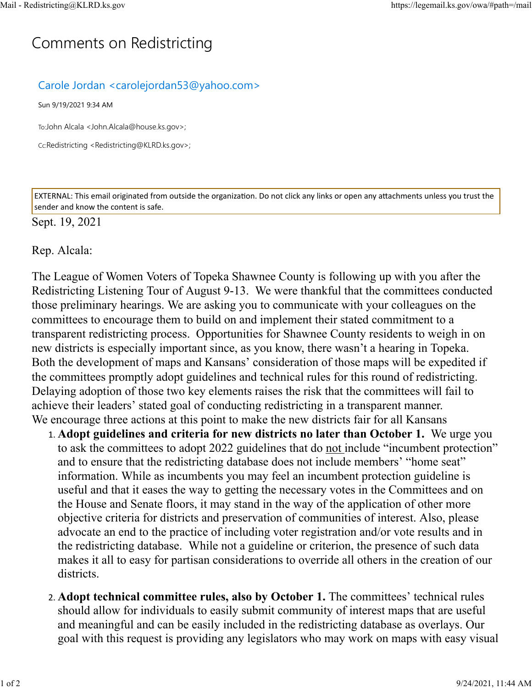## C[omm](https://legemail.ks.gov/owa/#path=/mail)ents on Redistricting

## Carole Jordan <carolejordan53@yahoo.com>

Sun 9/19/2021 9:34 AM

To:John Alcala <John.Alcala@house.ks.gov>;

Cc:Redistricting <Redistricting@KLRD.ks.gov>;

EXTERNAL: This email originated from outside the organization. Do not click any links or open any attachments unless you trust the sender and know the content is safe.

## Sept. 19, 2021

## Rep. Alcala:

The League of Women Voters of Topeka Shawnee County is following up with you after the Redistricting Listening Tour of August 9-13. We were thankful that the committees conducted those preliminary hearings. We are asking you to communicate with your colleagues on the committees to encourage them to build on and implement their stated commitment to a transparent redistricting process. Opportunities for Shawnee County residents to weigh in on new districts is especially important since, as you know, there wasn't a hearing in Topeka. Both the development of maps and Kansans' consideration of those maps will be expedited if the committees promptly adopt guidelines and technical rules for this round of redistricting. Delaying adoption of those two key elements raises the risk that the committees will fail to achieve their leaders' stated goal of conducting redistricting in a transparent manner. We encourage three actions at this point to make the new districts fair for all Kansans

- 1. **Adopt guidelines and criteria for new districts no later than October 1.** We urge you to ask the committees to adopt 2022 guidelines that do not include "incumbent protection" and to ensure that the redistricting database does not include members' "home seat" information. While as incumbents you may feel an incumbent protection guideline is useful and that it eases the way to getting the necessary votes in the Committees and on the House and Senate floors, it may stand in the way of the application of other more objective criteria for districts and preservation of communities of interest. Also, please advocate an end to the practice of including voter registration and/or vote results and in the redistricting database. While not a guideline or criterion, the presence of such data makes it all to easy for partisan considerations to override all others in the creation of our districts.
- 2. **Adopt technical committee rules, also by October 1.** The committees' technical rules should allow for individuals to easily submit community of interest maps that are useful and meaningful and can be easily included in the redistricting database as overlays. Our goal with this request is providing any legislators who may work on maps with easy visual